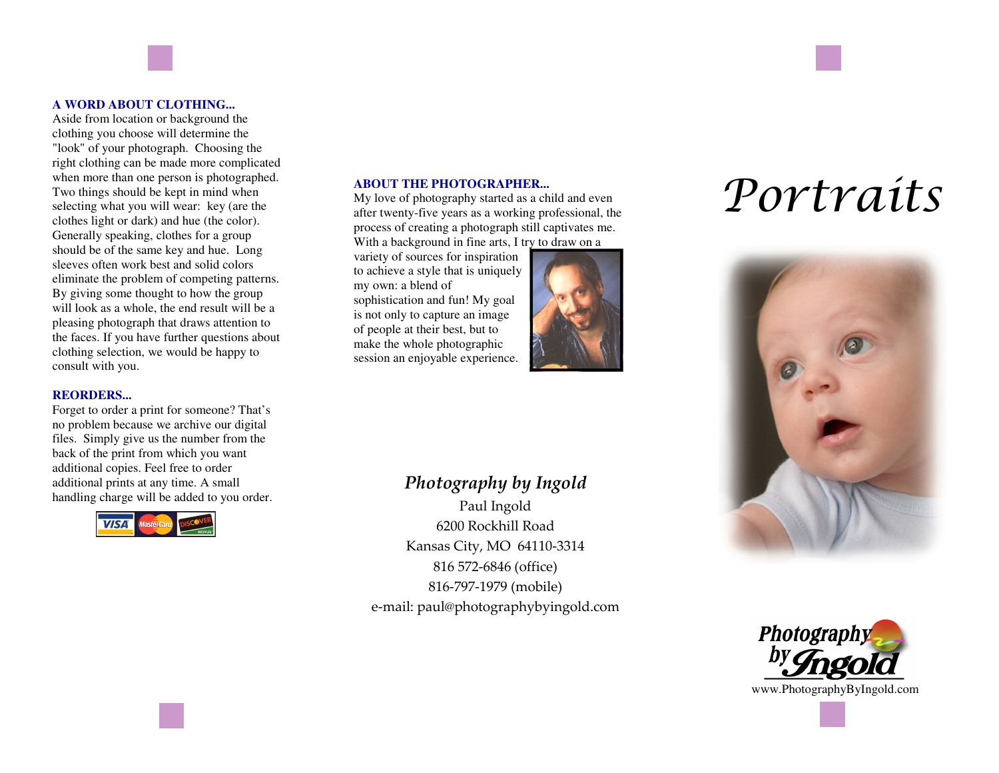#### **A WORD ABOUT CLOTHING...**

 Aside from location or background the clothing you choose will determine the "look" of your photograph. Choosing the right clothing can be made more complicated when more than one person is photographed. Two things should be kept in mind when selecting what you will wear: key (are the clothes light or dark) and hue (the color). Generally speaking, clothes for a group should be of the same key and hue. Long sleeves often work best and solid colors eliminate the problem of competing patterns. By giving some thought to how the group will look as a whole, the end result will be a pleasing photograph that draws attention to the faces. If you have further questions about clothing selection, we would be happy to consult with you.

#### **REORDERS...**

 Forget to order a print for someone? That's no problem because we archive our digital files. Simply give us the number from the back of the print from which you want additional copies. Feel free to order additional prints at any time. A small handling charge will be added to you order.



ABOUT THE PHOTOGRAPHER...<br>My love of photography started as a child and even<br>after twenty-five years as a working professional, the<br>process of creating a photograph still captivates me. process of creating a photograph still captivates me. With a background in fine arts, I try to draw on a

variety of sources for inspiration to achieve a style that is uniquely my own: a blend of sophistication and fun! My goal is not only to capture an image of people at their best, but to make the whole photographic session an enjoyable experience.



### *Photography by Ingold*

Paul Ingold 6200 Rockhill Road Kansas City, MO 64110-3314 816 572-6846 (office) 816-797-1979 (mobile) e-mail: paul@photographybyingold.com





www.PhotographyByIngold.com